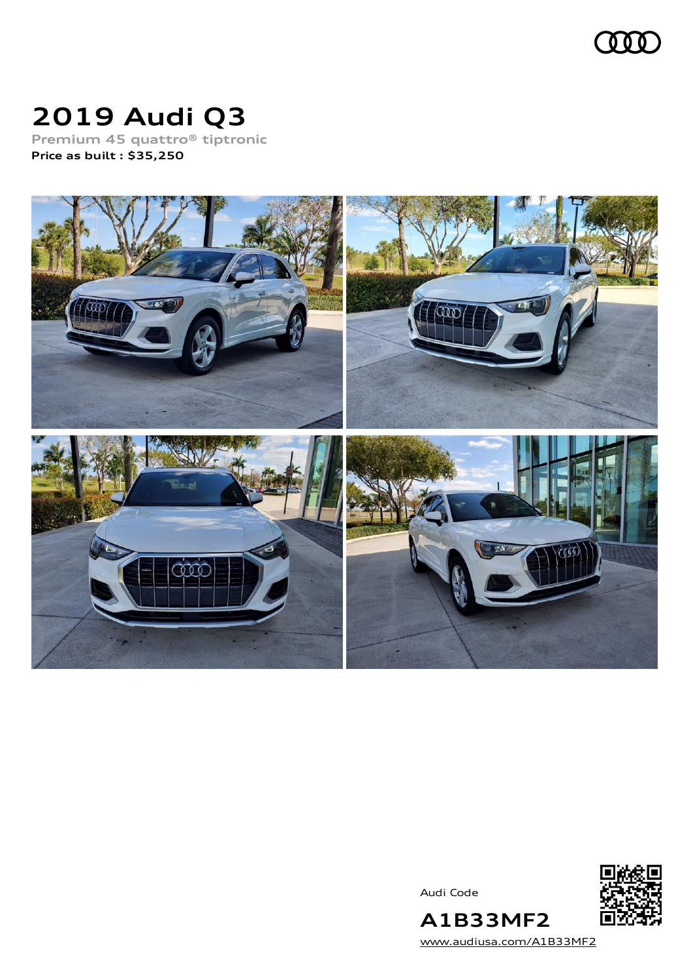

# **2019 Audi Q3**

**Premium 45 quattro® tiptronic Price as built [:](#page-8-0) \$35,250**



Audi Code



[www.audiusa.com/A1B33MF2](https://www.audiusa.com/A1B33MF2)

**A1B33MF2**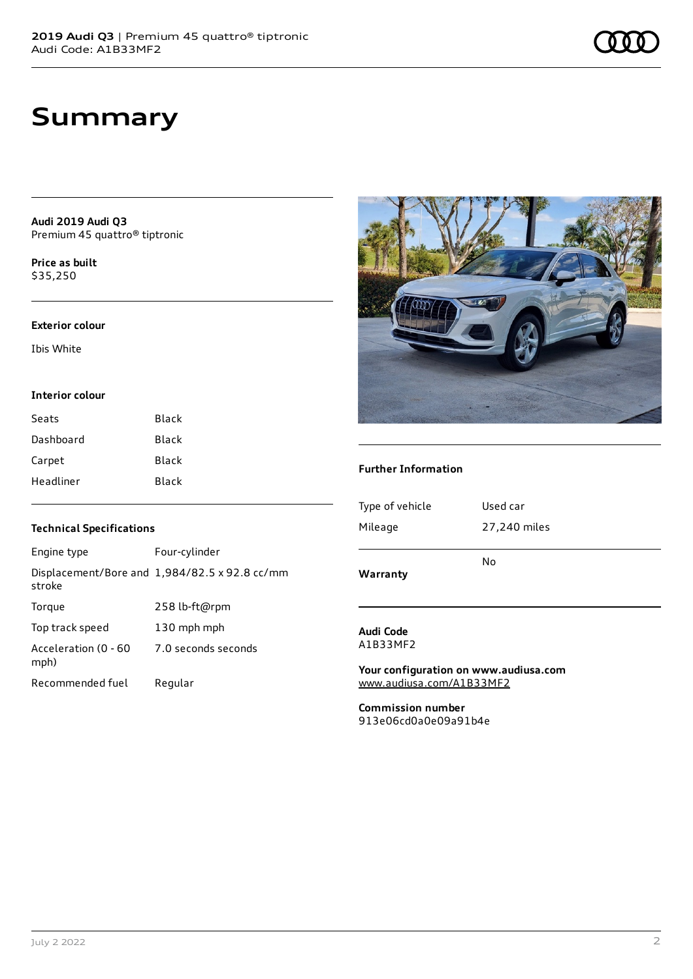**Audi 2019 Audi Q3** Premium 45 quattro® tiptronic

**Price as buil[t](#page-8-0)** \$35,250

#### **Exterior colour**

Ibis White

#### **Interior colour**

| Seats     | Black |
|-----------|-------|
| Dashboard | Black |
| Carpet    | Black |
| Headliner | Black |

### **Technical Specifications**

| Engine type                  | Four-cylinder                                 |
|------------------------------|-----------------------------------------------|
| stroke                       | Displacement/Bore and 1,984/82.5 x 92.8 cc/mm |
| Torque                       | 258 lb-ft@rpm                                 |
| Top track speed              | 130 mph mph                                   |
| Acceleration (0 - 60<br>mph) | 7.0 seconds seconds                           |
| Recommended fuel             | Regular                                       |



#### **Further Information**

| Warranty        | No           |
|-----------------|--------------|
| Mileage         | 27,240 miles |
| Type of vehicle | Used car     |
|                 |              |

#### **Audi Code** A1B33MF2

**Your configuration on www.audiusa.com** [www.audiusa.com/A1B33MF2](https://www.audiusa.com/A1B33MF2)

**Commission number** 913e06cd0a0e09a91b4e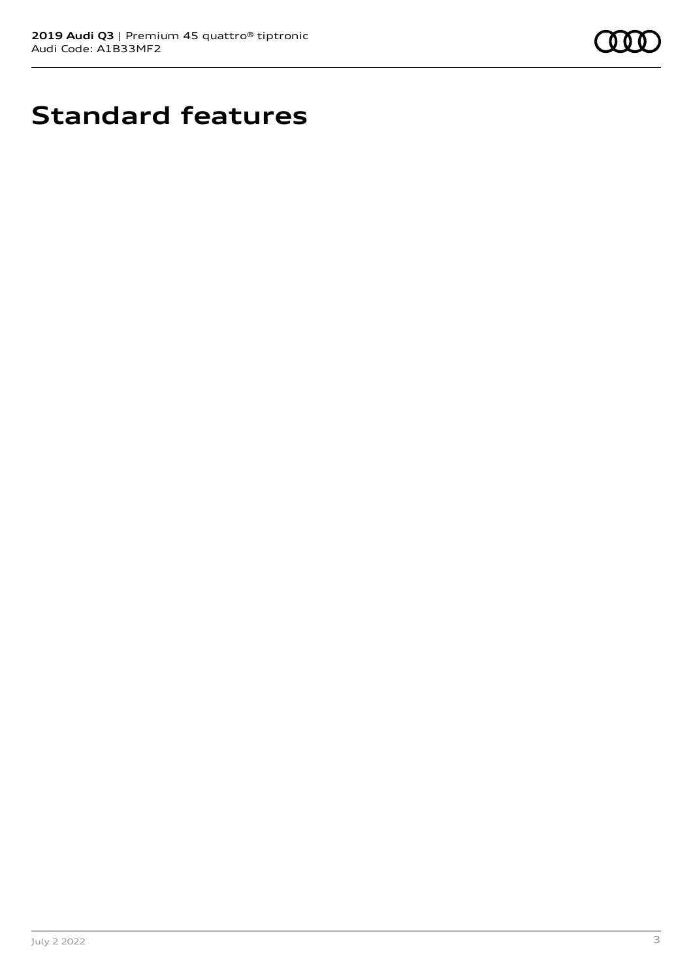

# **Standard features**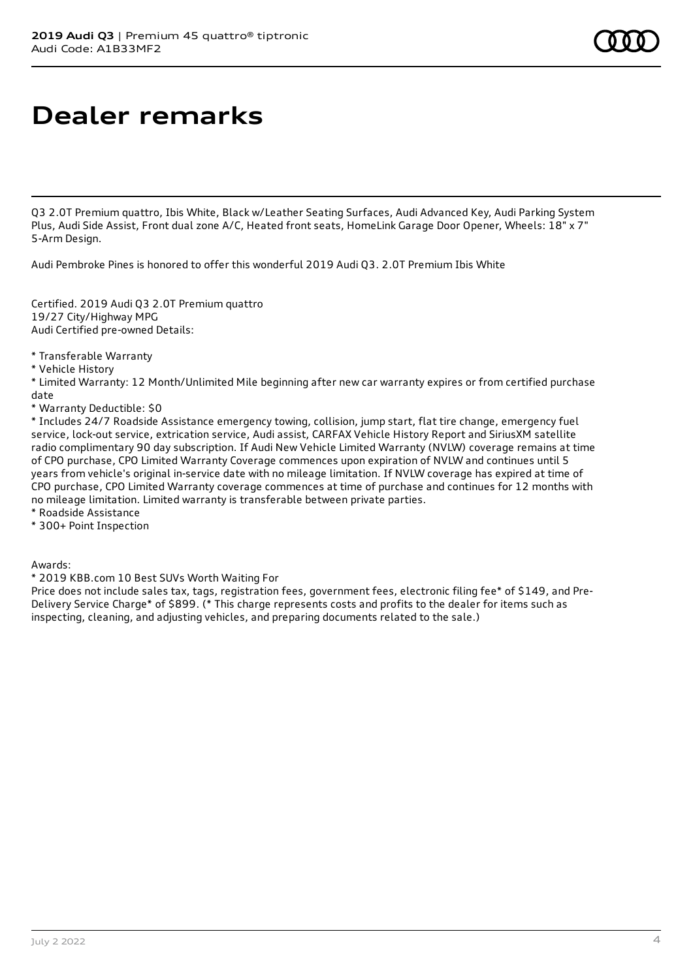# **Dealer remarks**

Q3 2.0T Premium quattro, Ibis White, Black w/Leather Seating Surfaces, Audi Advanced Key, Audi Parking System Plus, Audi Side Assist, Front dual zone A/C, Heated front seats, HomeLink Garage Door Opener, Wheels: 18" x 7" 5-Arm Design.

Audi Pembroke Pines is honored to offer this wonderful 2019 Audi Q3. 2.0T Premium Ibis White

Certified. 2019 Audi Q3 2.0T Premium quattro 19/27 City/Highway MPG Audi Certified pre-owned Details:

\* Transferable Warranty

\* Vehicle History

\* Limited Warranty: 12 Month/Unlimited Mile beginning after new car warranty expires or from certified purchase date

\* Warranty Deductible: \$0

\* Includes 24/7 Roadside Assistance emergency towing, collision, jump start, flat tire change, emergency fuel service, lock-out service, extrication service, Audi assist, CARFAX Vehicle History Report and SiriusXM satellite radio complimentary 90 day subscription. If Audi New Vehicle Limited Warranty (NVLW) coverage remains at time of CPO purchase, CPO Limited Warranty Coverage commences upon expiration of NVLW and continues until 5 years from vehicle's original in-service date with no mileage limitation. If NVLW coverage has expired at time of CPO purchase, CPO Limited Warranty coverage commences at time of purchase and continues for 12 months with no mileage limitation. Limited warranty is transferable between private parties.

\* Roadside Assistance

\* 300+ Point Inspection

Awards:

\* 2019 KBB.com 10 Best SUVs Worth Waiting For

Price does not include sales tax, tags, registration fees, government fees, electronic filing fee\* of \$149, and Pre-Delivery Service Charge\* of \$899. (\* This charge represents costs and profits to the dealer for items such as inspecting, cleaning, and adjusting vehicles, and preparing documents related to the sale.)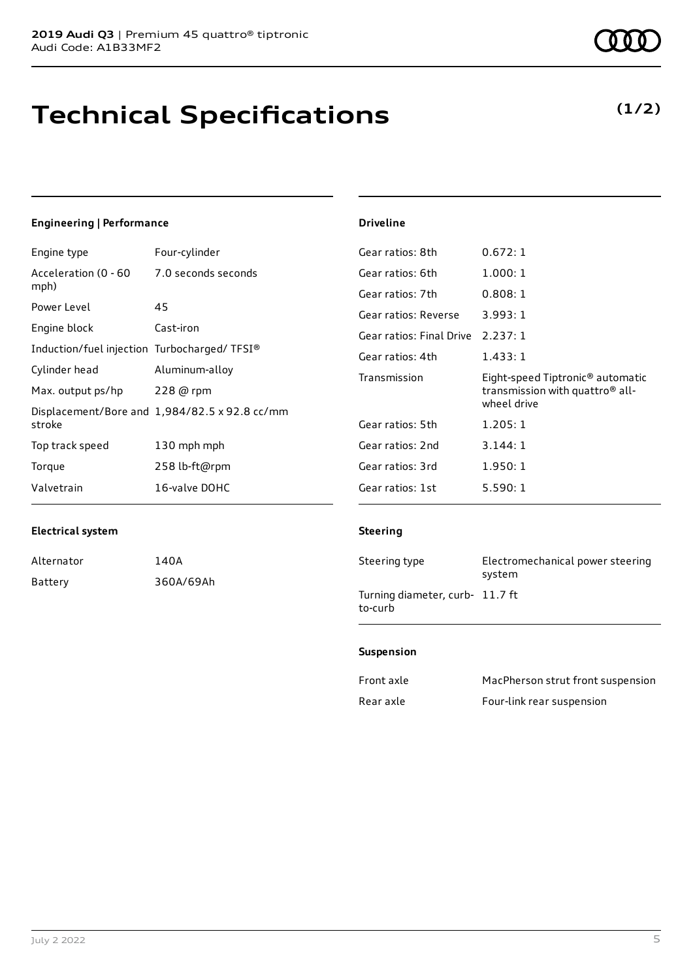## **Technical Specifications**

| <b>Engineering   Performance</b>            |                                                      | <b>Driveline</b>         |                                              |
|---------------------------------------------|------------------------------------------------------|--------------------------|----------------------------------------------|
| Engine type                                 | Four-cylinder                                        | Gear ratios: 8th         | 0.672:1                                      |
| Acceleration (0 - 60                        | 7.0 seconds seconds                                  | Gear ratios: 6th         | 1.000:1                                      |
| mph)                                        |                                                      | Gear ratios: 7th         | 0.808:1                                      |
| Power Level                                 | 45                                                   | Gear ratios: Reverse     | 3.993:1                                      |
| Engine block                                | Cast-iron                                            | Gear ratios: Final Drive | 2.237:1                                      |
| Induction/fuel injection Turbocharged/TFSI® |                                                      | Gear ratios: 4th         | 1.433:1                                      |
| Cylinder head                               | Aluminum-alloy                                       | Transmission             | Eight-speed Tiptronic <sup>®</sup> automatic |
| Max. output ps/hp                           | 228 @ rpm                                            |                          | transmission with quattro <sup>®</sup> all-  |
|                                             | Displacement/Bore and $1,984/82.5 \times 92.8$ cc/mm |                          | wheel drive                                  |
| stroke                                      |                                                      | Gear ratios: 5th         | 1.205:1                                      |
| Top track speed                             | 130 mph mph                                          | Gear ratios: 2nd         | 3.144:1                                      |
| Torque                                      | 258 lb-ft@rpm                                        | Gear ratios: 3rd         | 1.950:1                                      |
| Valvetrain                                  | 16-valve DOHC                                        | Gear ratios: 1st         | 5.590:1                                      |

#### **Electrical system**

| Alternator | 140A      |
|------------|-----------|
| Battery    | 360A/69Ah |

#### **Steering**

| Steering type                              | Electromechanical power steering<br>system |
|--------------------------------------------|--------------------------------------------|
| Turning diameter, curb- 11.7 ft<br>to-curb |                                            |

#### **Suspension**

| Front axle | MacPherson strut front suspension |
|------------|-----------------------------------|
| Rear axle  | Four-link rear suspension         |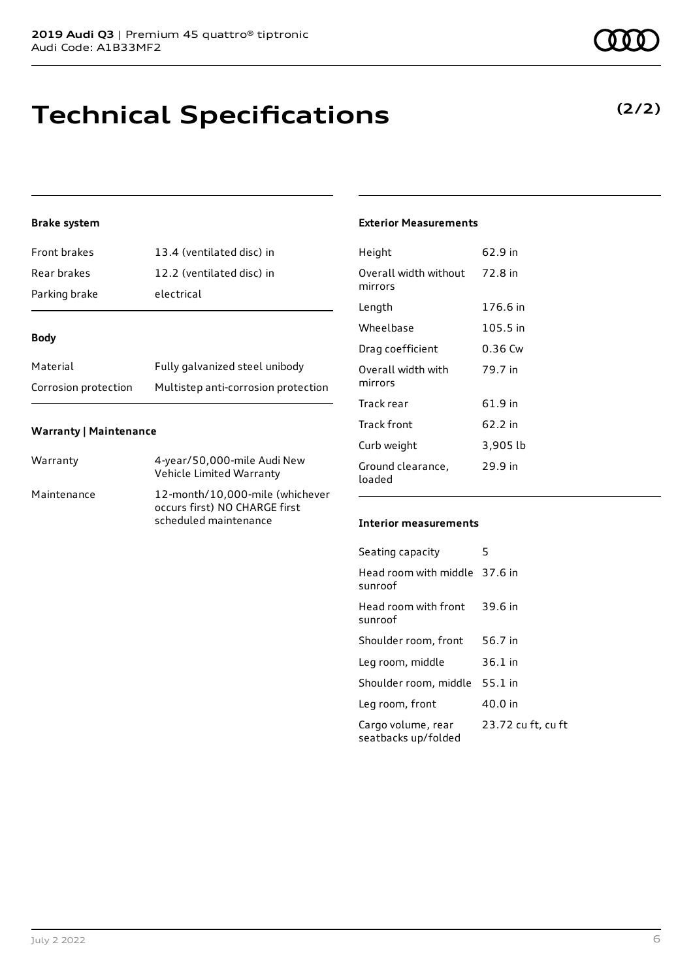## **Technical Specifications**

### **Brake system**

| Front brakes  | 13.4 (ventilated disc) in |
|---------------|---------------------------|
| Rear brakes   | 12.2 (ventilated disc) in |
| Parking brake | electrical                |

#### **Body**

| Material             | Fully galvanized steel unibody      |
|----------------------|-------------------------------------|
| Corrosion protection | Multistep anti-corrosion protection |

#### **Warranty | Maintenance**

| Warranty    | 4-year/50,000-mile Audi New<br>Vehicle Limited Warranty                                   |
|-------------|-------------------------------------------------------------------------------------------|
| Maintenance | 12-month/10,000-mile (whichever<br>occurs first) NO CHARGE first<br>scheduled maintenance |

### **Exterior Measurements**

| Height                           | 62.9 in  |
|----------------------------------|----------|
| Overall width without<br>mirrors | 72.8 in  |
| Length                           | 176.6 in |
| Wheelbase                        | 105.5 in |
| Drag coefficient                 | 0.36 Cw  |
| Overall width with<br>mirrors    | 79.7 in  |
| Track rear                       | 61.9 in  |
| Track front                      | 62.2 in  |
| Curb weight                      | 3,905 lb |
| Ground clearance,<br>loaded      | 29.9 in  |

#### **Interior measurements**

| Seating capacity                          | 5                  |
|-------------------------------------------|--------------------|
| Head room with middle 37.6 in<br>sunroof  |                    |
| Head room with front<br>sunroof           | 39.6 in            |
| Shoulder room, front                      | 56.7 in            |
| Leg room, middle                          | $36.1$ in          |
| Shoulder room, middle                     | 55.1 in            |
| Leg room, front                           | 40.0 in            |
| Cargo volume, rear<br>seatbacks up/folded | 23.72 cu ft, cu ft |



**(2/2)**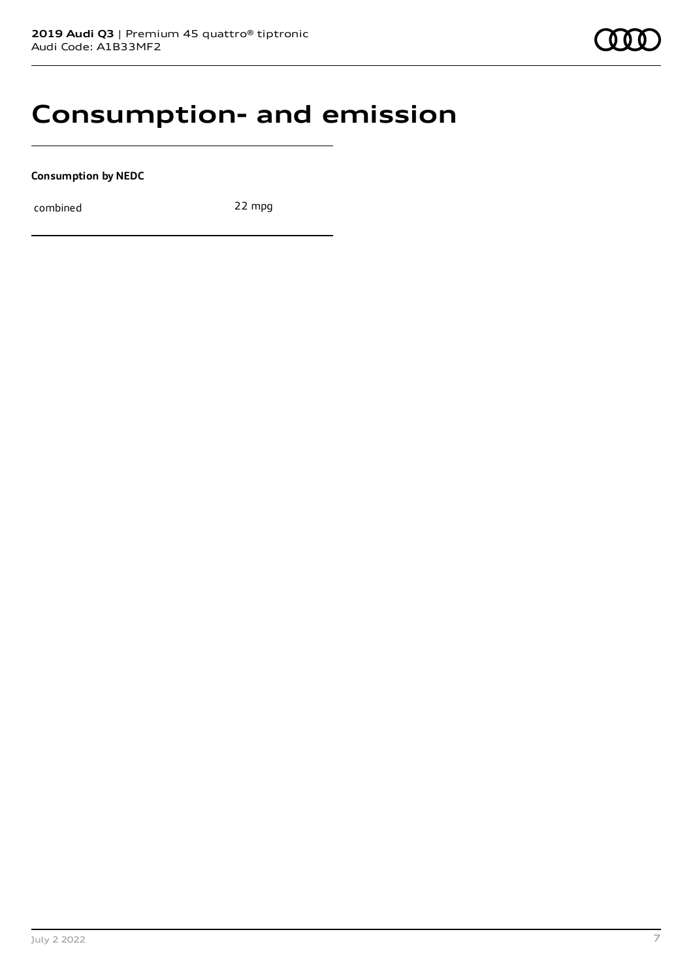### **Consumption- and emission**

**Consumption by NEDC**

combined 22 mpg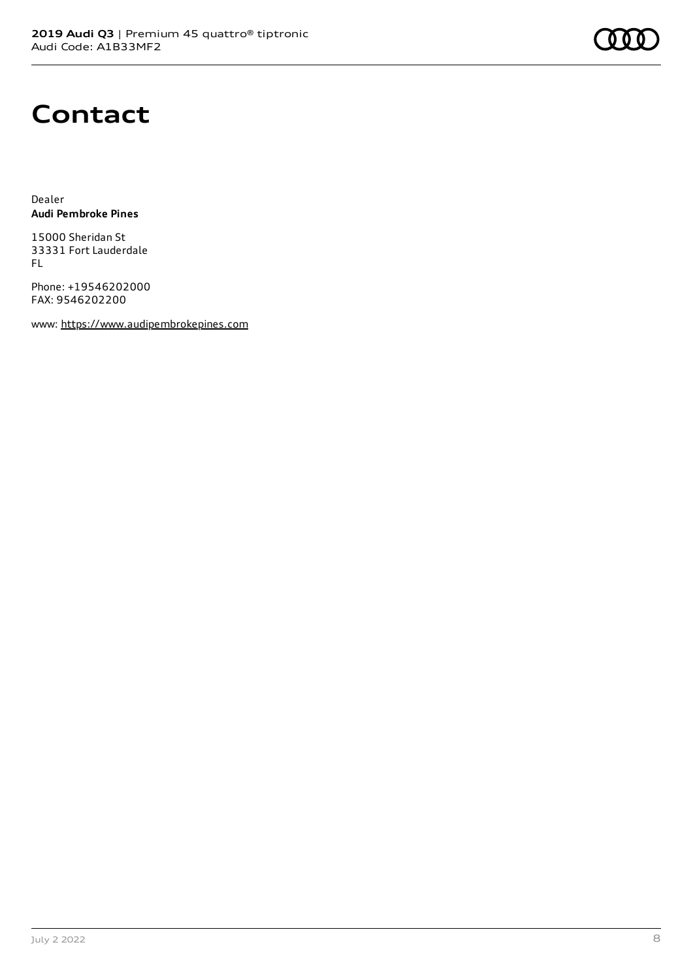## **Contact**

Dealer **Audi Pembroke Pines**

15000 Sheridan St 33331 Fort Lauderdale FL

Phone: +19546202000 FAX: 9546202200

www: [https://www.audipembrokepines.com](https://www.audipembrokepines.com/)